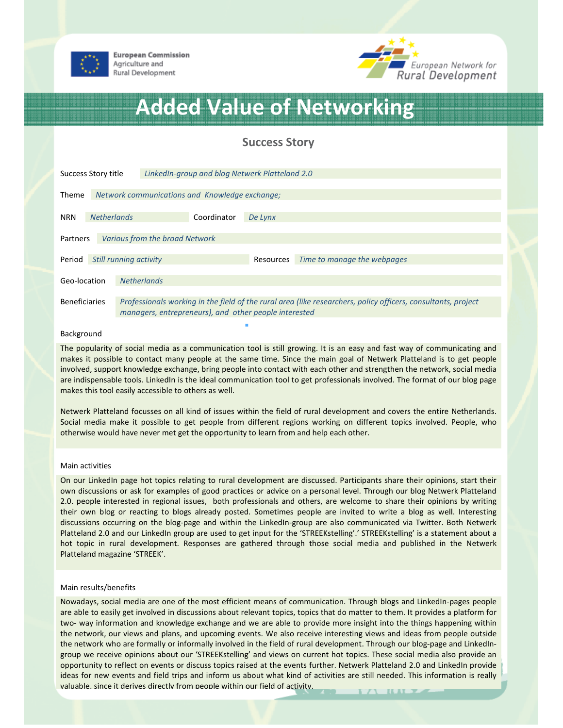



# Added Value of Networking

# Success Story

| Success Story title                        |                        |                                                                                                                                                                        | LinkedIn-group and blog Netwerk Platteland 2.0 |         |           |                             |  |
|--------------------------------------------|------------------------|------------------------------------------------------------------------------------------------------------------------------------------------------------------------|------------------------------------------------|---------|-----------|-----------------------------|--|
| Theme                                      |                        | Network communications and Knowledge exchange;                                                                                                                         |                                                |         |           |                             |  |
| <b>NRN</b>                                 | <b>Netherlands</b>     |                                                                                                                                                                        | Coordinator                                    | De Lynx |           |                             |  |
| Various from the broad Network<br>Partners |                        |                                                                                                                                                                        |                                                |         |           |                             |  |
| Period                                     | Still running activity |                                                                                                                                                                        |                                                |         | Resources | Time to manage the webpages |  |
| Geo-location                               |                        | <b>Netherlands</b>                                                                                                                                                     |                                                |         |           |                             |  |
| <b>Beneficiaries</b>                       |                        | Professionals working in the field of the rural area (like researchers, policy officers, consultants, project<br>managers, entrepreneurs), and other people interested |                                                |         |           |                             |  |

#### Background

The popularity of social media as a communication tool is still growing. It is an easy and fast way of communicating and makes it possible to contact many people at the same time. Since the main goal of Netwerk Platteland is to get people involved, support knowledge exchange, bring people into contact with each other and strengthen the network, social media are indispensable tools. LinkedIn is the ideal communication tool to get professionals involved. The format of our blog page makes this tool easily accessible to others as well.

Netwerk Platteland focusses on all kind of issues within the field of rural development and covers the entire Netherlands. Social media make it possible to get people from different regions working on different topics involved. People, who otherwise would have never met get the opportunity to learn from and help each other.

## Main activities

On our LinkedIn page hot topics relating to rural development are discussed. Participants share their opinions, start their own discussions or ask for examples of good practices or advice on a personal level. Through our blog Netwerk Platteland 2.0. people interested in regional issues, both professionals and others, are welcome to share their opinions by writing their own blog or reacting to blogs already posted. Sometimes people are invited to write a blog as well. Interesting discussions occurring on the blog-page and within the LinkedIn-group are also communicated via Twitter. Both Netwerk Platteland 2.0 and our LinkedIn group are used to get input for the 'STREEKstelling'.' STREEKstelling' is a statement about a hot topic in rural development. Responses are gathered through those social media and published in the Netwerk Platteland magazine 'STREEK'.

### Main results/benefits

Nowadays, social media are one of the most efficient means of communication. Through blogs and LinkedIn-pages people are able to easily get involved in discussions about relevant topics, topics that do matter to them. It provides a platform for two- way information and knowledge exchange and we are able to provide more insight into the things happening within the network, our views and plans, and upcoming events. We also receive interesting views and ideas from people outside the network who are formally or informally involved in the field of rural development. Through our blog-page and LinkedIngroup we receive opinions about our 'STREEKstelling' and views on current hot topics. These social media also provide an opportunity to reflect on events or discuss topics raised at the events further. Netwerk Platteland 2.0 and LinkedIn provide ideas for new events and field trips and inform us about what kind of activities are still needed. This information is really valuable, since it derives directly from people within our field of activity.